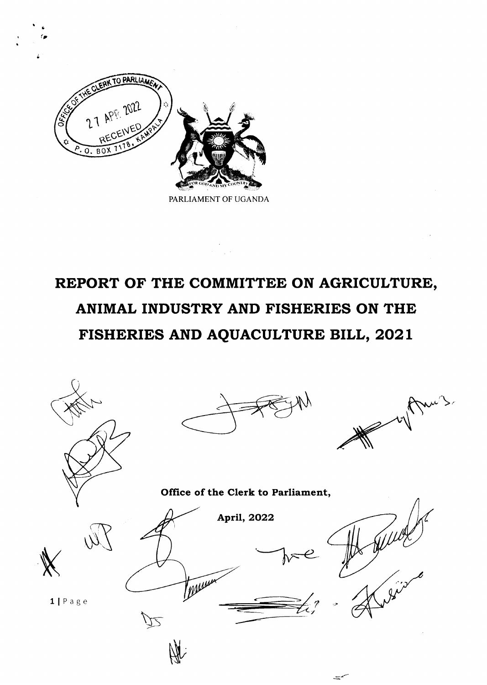

\*  $\bullet$ 

PARLIAMENT OF UGANDA

# REPORT OF THE COMMITTEE ON AGRICULTURE, ANIMAL INDUSTRY AND FISHERIES ON THE FISHERIES AND AQUACULTURE BILL, 2O2l

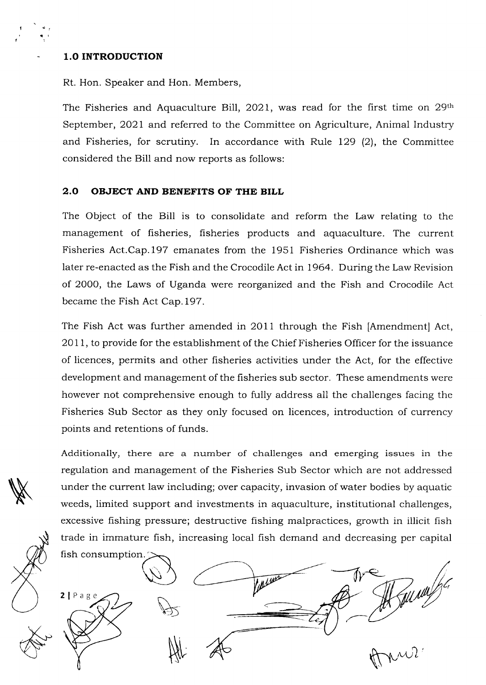# 1.O INTRODUCTION

I l

Rt. Hon. Speaker and Hon. Members,

The Fisheries and Aquaculture Bill, 2021, was read for the first time on 29th September, 2021 and referred to the Committee on Agriculture, Animal Industry and Fisheries, for scrutiny. In accordance with Rule  $129$  (2), the Committee considered the Bill and now reports as follows:

#### 2.0 OBJECT AND BENEFITS OF THE BILL

The Object of the Bill is to consolidate and reform the Law relating to the management of fisheries, fisheries products and aquaculture. The current Fisheries Act.Cap.l97 emanates from the 1951 Fisheries Ordinance which was later re-enacted as the Fish and the Crocodile Act in 1964. During the Law Revision of 2000, the Laws of Uganda were reorganized and the Fish and Crocodile Act became the Fish Act Cap.197.

The Fish Act was further amended in 2011 through the Fish [Amendment] Act, 2OlI, to provide for the establishment of the Chief Fisheries Officer for the issuance of licences, permits and other fisheries activities under the Act, for the effective development and management of the fisheries sub sector, These amendments were however not comprehensive enough to fully address all the challenges facing the Fisheries Sub Sector as they only focused on licences, introduction of currency points and retentions of funds.

Additionally, there are a number of challenges and emerging issues in the regulation and management of the Fisheries Sub Sector which are not addressed under the current law including; over capacity, invasion of water bodies by aquatic weeds, limited support and investments in aquaculture, institutional challenges, excessive fishing pressure; destructive fishing malpractices, growth in illicit fish trade in immature fish, increasing local fish demand and decreasing per capital

fish consumption Funny 2 | Page u,nui Nr

**N**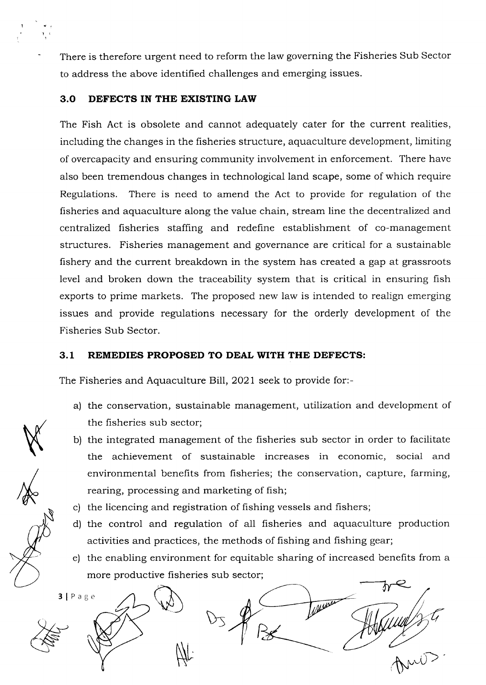There is therefore urgent need to reform the law governing the Fisheries Sub Sector to address the above identified challenges and emerging issues.

#### 3.O DEFECTS IN THE EXISTING LAW

The Fish Act is obsolete and cannot adequately cater for the current realities, including the changes in the fisheries structure, aquaculture development, limiting of overcapacity and ensuring community involvement in enforcement. There have also been tremendous changes in technoiogical land scape, some of which require Regulations. There is need to amend the Act to provide for regulation of the fisheries and aquaculture along the value chain, stream line the decentralized and centralized fisheries staffing and redefine establishment of co-management structures. Fisheries management and governance are critical for a sustainable fishery and the current breakdown in the system has created a gap at grassroots level and broken down the traceability system that is critical in ensuring fish exports to prime markets. The proposed new law is intended to realign emerging issues and provide regulations necessary for the orderly development of the Fisheries Sub Sector.

# 3.1 REMEDIES PROPOSED TO DEAL WITH THE DEFECTS:

The Fisheries and Aquaculture Bill, 2021 seek to provide for:-

- a) the conservation, sustainable management, utilization and development of the fisheries sub sector;
- b) the integrated management of the fisheries sub sector in order to facilitate the achievement of sustainable increases in economic, social and environmental benefits from fisheries; the conservation, capture, farming, rearing, processing and marketing of fish;
- c) the licencing and registration of fishing vessels and fishers;
- d) the control and regulation of all fisheries and aquaculture production activities and practices, the methods of fishing and fishing gear;
- e) the enabling environment for equitable sharing of increased benefits from a more productive fisheries sub sector;



 $\langle$ 

I 1

 $/ \rule[-0.2cm]{0.12cm}{0.1cm}$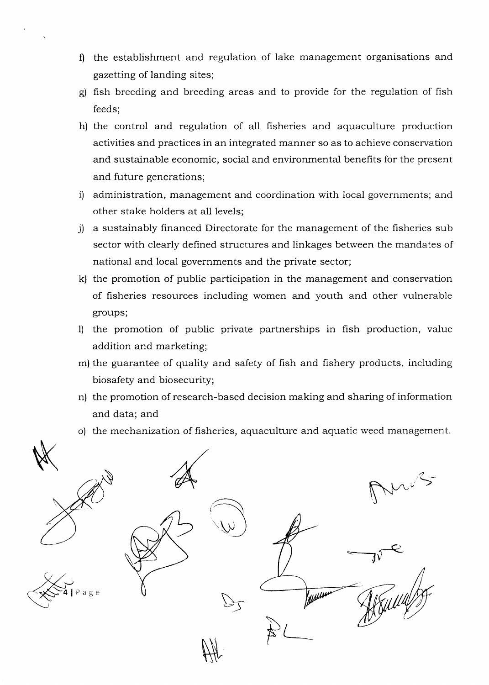- 0 the establishment and regulation of lake management organisations and gazetting of landing sites;
- g) fish breeding and breeding areas and to provide for the regulation of fish feeds;
- h) the control and regulation of all fisheries and aquaculture production activities and practices in an integrated manner so as to achieve conservation and sustainable economic, social and environmental benefits for the present and future generations;
- i) administration, management and coordination with local governments; and other stake holders at all levels;
- j) a sustainably financed Directorate for the management of the fisheries sub sector with clearly defined structures and linkages between the mandates of national and local governments and the private sector;
- k) the promotion of public participation in the management and conservation of fisheries resources including women and youth and other vulnerable groups;
- l) the promotion of public private partnerships in fish production, value addition and marketing;
- m) the guarantee of quality and safety of fish and fishery products, including biosafety and biosecurity;
- n) the promotion of research-based decision making and sharing of information and data; and
- o) the mechanization of fisheries, aquaculture and aquatic weed management.

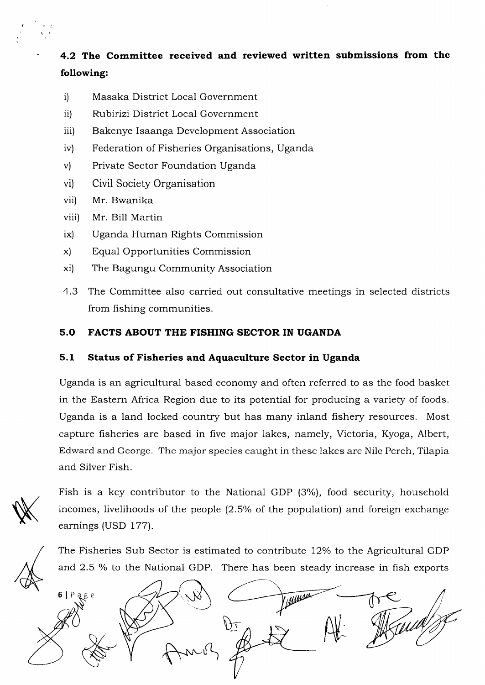4.2 The Committee received and reviewed written submissions from the following:

- i) Masaka District Local Government
- ii) Rubirizi District Local Government
- iii) Bakenye Isaanga Development Association
- iv) Federation of Fisheries Organisations, Uganda
- v) Private Sector Foundation Uganda
- vi) Civil Society Organisation
- vii) Mr. Bwanika
- viii) Mr. Bill Martin
- ix) Uganda Human Rights Commission
- x) Equal Opportunities Commission
- xi) The Bagungu Community Association
- 4.3 The Committee also carried out consultative meetings in selected districts from fishing communities.

# 5.O FACTS ABOUT THE FISHING SECTOR IN UGANDA

# 5.1 Status of Fisheries and Aquaculture Sector in Uganda

Uganda is an agricultural based economy and often referred to as the food basket in the Eastern Africa Region due to its potential for producing a variety of foods. Uganda is a land locked country but has many inland fishery resources. Most capture fisheries are based in five major lakes, namely, Victoria, Kyoga, Albert, Edward and George. The rnajor species caught in these lakes are Nile Perch, Tilapia and Silver Fish.

 $\cancel{\mathbb{X}}$ 

1

Fish is a key contributor to the National GDP (3%), food security, household incomes, livelihoods of the people (2.5% of the population) and foreign exchange earnings (USD 177).

The Fisheries Sub Sector is estimated to contribute 12% to the Agricultural GDP and 2.5 % to the National GDP. There has been steady increase in fish exports

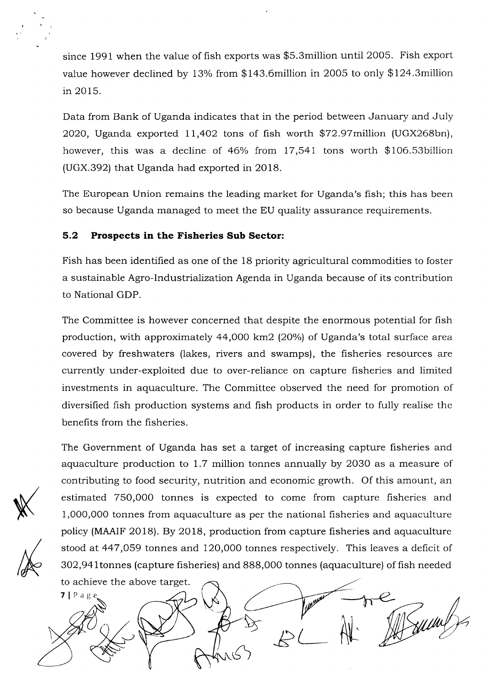since 1991 when the value of fish exports was \$S.3million until 2005. Fish export value however declined by 13% from  $$143.6$ million in 2005 to only  $$124.3$ million in 2015

Data from Bank of Uganda indicates that in the period between January and July 2O2O, Uganda exported ll,4o2 tons of fish worth \$72.97million (UGX268bn), however, this was a decline of  $46\%$  from 17,541 tons worth \$106.53billion (UGX.392) that Uganda had exported in 2018.

The European Union remains the leading market for Uganda's fish; this has been so because Uganda managed to meet the EU quality assurance requirements.

# 5.2 Prospects in the Fisheries Sub Sector:

Fish has been identified as one of the 18 priority agricultural commodities to foster a sustainable Agro-lndustrialization Agenda in Uganda because of its contribution to National GDP.

The Committee is however concerned that despite the enormous potential for fish production, with approximately  $44,000$  km2 (20%) of Uganda's total surface area covered by freshwaters (lakes, rivers and swamps), the fisheries resources are currently under-exploited due to over-reliance on capture fisheries and limited investments in aquaculture. The Committee observed the need for promotion of diversified fish production systems and fish products in order to fully realise the benefits from the fisheries.

 $\mathbb{X}$ 

N

The Government of Uganda has set a target of increasing capture fisheries and aquaculture production to I.7 million tonnes annually by 2O3O as a measure of contributing to food security, nutrition and economic growth. Of this amount, an estimated 750,000 tonnes is expected to come from capture fisheries and 1,0OO,0OO tonnes from aquaculture as per the national fisheries and aquaculture policy (MAAIF 2018). By 2O18, production from capture fisheries and aquaculture stood at 447,O59 tonnes and 120,000 tonnes respectively. This leaves a deficit of 3O2,941tonnes (capture fisheries) and 888,O00 tonnes (aquaculture) of fish needed

to achieve the above target.  $7$ | Pag Bumb  $\overleftrightarrow{\mathcal{L}}$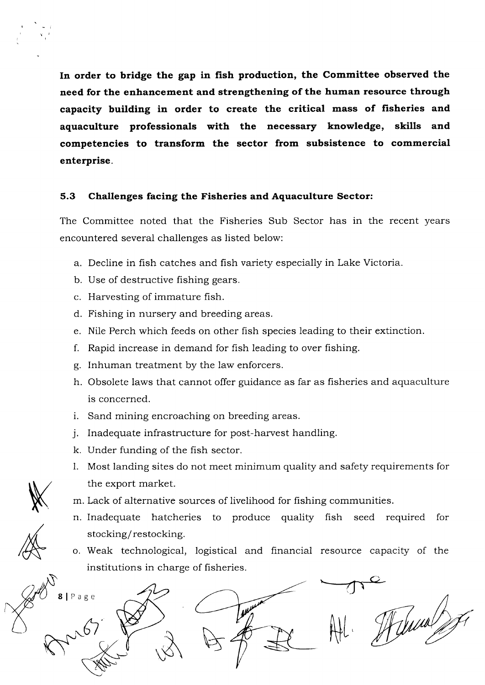In order to bridge the gap in fish production, the Committee observed the need for the enhancement and strengthening of the human resource through capacity building in order to create the critical mass of fisheries and aquaculture professionals with the necessary knowledge, skills and competencies to transform the sector from subsistence to commercial enterprise.

# 5.3 Challenges facing the Fisheries and Aquaculture Sector:

The Committee noted that the Fisheries Sub Sector has in the recent years encountered several challenges as listed below:

- a. Decline in fish catches and fish variety especialiy in Lake Victoria.
- b. Use of destructive fishing gears.
- c. Harvesting of immature fish.
- d. Fishing in nursery and breeding areas.
- e. Nile Perch which feeds on other fish species leading to their extinction.
- f. Rapid increase in demand for fish leading to over fishing.
- g. Inhuman treatment by the law enforcers.
- h. Obsolete laws that cannot offer guidance as far as fisheries and aquaculture is concerned.
- i. Sand mining encroaching on breeding areas.
- j. Inadequate infrastructure for post-harvest handling.
- k. Under funding of the fish sector.
- 1. Most landing sites do not meet minimum quality and safety requirements for the export market.
- K

/&

t rl

- m. Lack of alternative sources of livelihood for fishing communities.
- n. Inadequate hatcheries to produce quality fish seed required for stocking/restocking.
- o. Weak technological, logistical and financial resource capacity of the institutions in charge of fisheries.

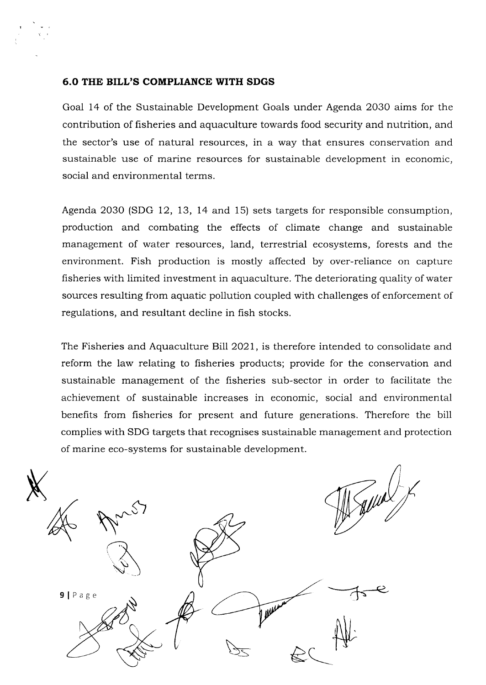#### 6.0 THE BILL'S COMPLIANCE WITH SDGS

Goal 14 of the Sustainable Development Goals under Agenda 2O3O aims for the contribution of fisheries and aquaculture towards food security and nutrition, and the sector's use of natural resources, in a way that ensures conservation and sustainable use of marine resources for sustainable development in economic, social and environmental terms.

Agenda 2O3O (SDG 12, 13, 14 and 15) sets targets for responsible consumption, production and combating the effects of climate change and sustainable management of water resources, land, terrestrial ecosystems, forests and the environment. Fish production is mostly affected by over-reliance on capture fisheries with limited investment in aquaculture. The deteriorating quality of water sources resulting from aquatic pollution coupled with challenges of enforcement of regulations, and resultant decline in fish stocks.

The Fisheries and Aquaculture Bill 2021, is therefore intended to consolidate and reform the law relating to fisheries products; provide for the conservation and sustainable management of the fisheries sub-sector in order to facilitate the achievement of sustainable increases in economic, social and environmental benefits from fisheries for present and future generations. Therefore the bill complies with SDG targets that recognises sustainable management and protection of marine eco-systems for sustainable development.

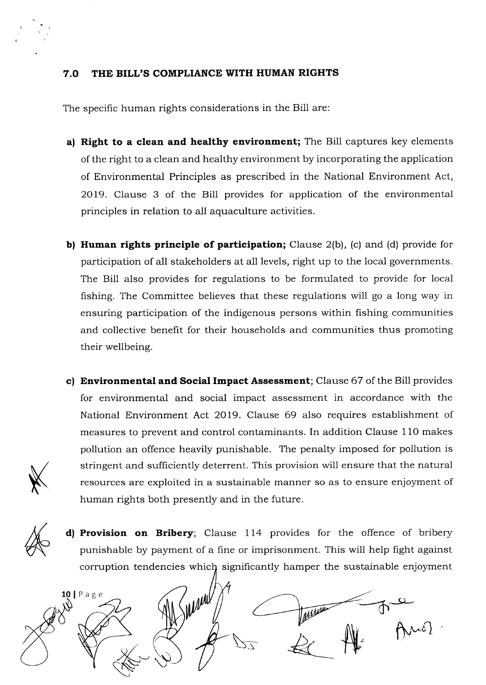# 7.O THE BILL'S COMPLIANCE WITH HUMAN RIGHTS

The specific human rights considerations in the Bill are:

- a) Right to a clean and healthy environment; The Bill captures key elements of the right to a clean and healthy environment by incorporating the application of Environmental Principles as prescribed in the National Environment Act, 2019. Clause 3 of the Bill provides for application of the environmental principles in relation to all aquaculture activities.
- b) Human rights principle of participation; Clause  $2(b)$ , (c) and (d) provide for participation of all stakeholders at all levels, right up to the local governments. The Bill also provides for regulations to be formulated to provide for local fishing. The Committee believes that these regulations will go a long way in ensuring participation of the indigenous persons within fishing communities and collective benefit for their households and communities thus promoting their wellbeing.
- c) Environmental and Social Impact Assessment; Clause 67 of the Bill provides for environmental and social impact assessment in accordance with the National Environment Act 2019. Clause 69 also requires establishment of measures to prevent and control contaminants. In addition Clause 110 makes pollution an offence heavily punishable. The penalty imposed for pollution is stringent and sufficiently deterrent. This provision will ensure that the natural resources are exploited in a sustainable manner so as to ensure enjoyment of human rights both presently and in the future.
- K

&

d) Provision on Bribery; Clause 114 provides for the offence of bribery punishable by payment of a fine or imprisonment. This will help fight against corruption tendencies which significantly hamper the sustainable enjoyment

ment Page  $\rightarrow$  $\theta$ Mo)  $\overline{z}$  of  $\overline{\mathcal{H}}$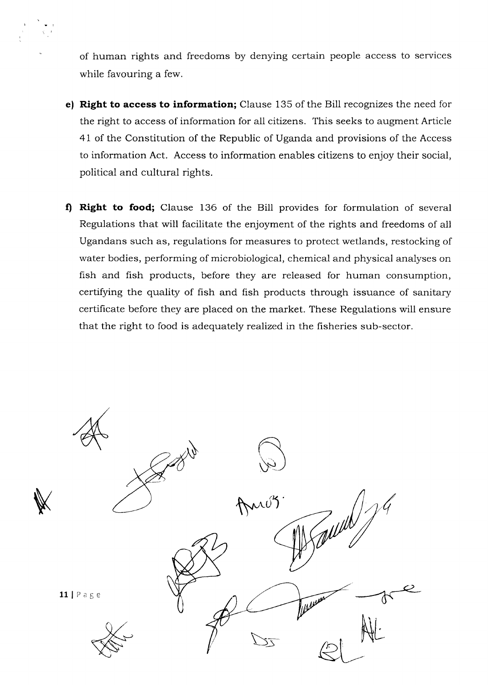of human rights and freedoms by denying certain people access to services while favouring a few.

- e) Right to access to information; Clause 135 of the Bill recognizes the need for the right to access of information for all citizens. This seeks to augment Article 4l of the Constitution of the Republic of Uganda and provisions of the Access to information Act. Access to information enables citizens to enjoy their social, political and cultural rights.
- f) Right to food; Clause 136 of the Bill provides for formulation of several Regulations that will facilitate the enjoyment of the rights and freedoms of all Ugandans such as, regulations for measures to protect wetlands, restocking of water bodies, performing of microbiological, chemical and physical analyses on fish and fish products, before they are released for human consumption, certifying the quality of fish and fish products through issuance of sanitary certificate before they are placed on the market. These Regulations will ensure that the right to food is adequately realized in the fisheries sub-sector.

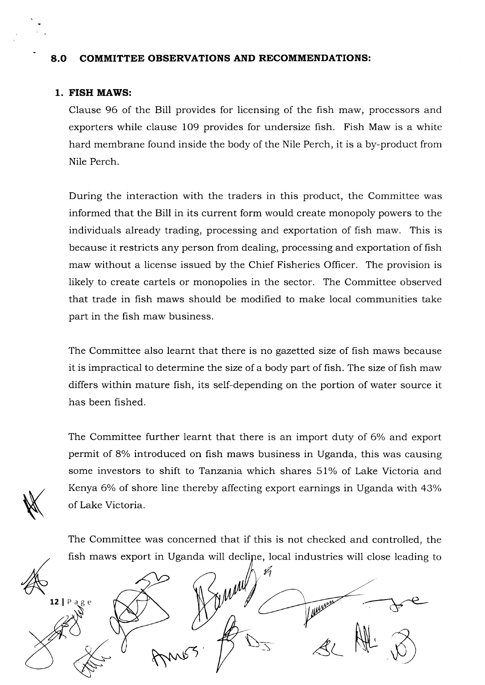#### 8.O COMMITTEE OBSERVATIONS AND RECOMMENDATIONS:

#### 1. FISH MAWS:

**KK** 

Clause 96 of the Bill provides for licensing of the fish maw, processors and exporters while clause 109 provides for undersize fish. Fish Maw is a white hard membrane found inside the body of the Nile Perch, it is a by-product from Nile Perch.

During the interaction with the traders in this product, the Committee was informed that the Bill in its current form would create monopoly powers to the individuals already trading, processing and exportation of fish maw. This is because it restricts any person from dealing, processing and exportation of fish maw without a license issued by the Chief Fisheries Officer. The provision is likely to create cartels or monopolies in the sector. The Committee observed that trade in fish maws should be modified to make local communities take part in the fish maw business.

The Committee also learnt that there is no gazetted size of fish maws because it is impractical to determine the size of a body part of fish. The size of fish maw differs within mature fish, its self-depending on the portion of water source it has been fished.

The Committee further learnt that there is an import duty of 6% and export permit of 8% introduced on fish maws business in Uganda, this was causing some investors to shift to Tanzania which shares 5l%o of Lake Victoria and Kenya 6% of shore line thereby affecting export earnings in Uganda with 43% of Lake Victoria.

The Committee was concerned that if this is not checked and controlled, the fish maws export in Uganda will declipe, local industries will close leading to

 $A = 22.222$  $12$  | P a g e  $\notimes$   $\not\hspace{-1.2cm}B\hspace{-1.2cm}D_5$  at  $\not\hspace{-1.2cm}M$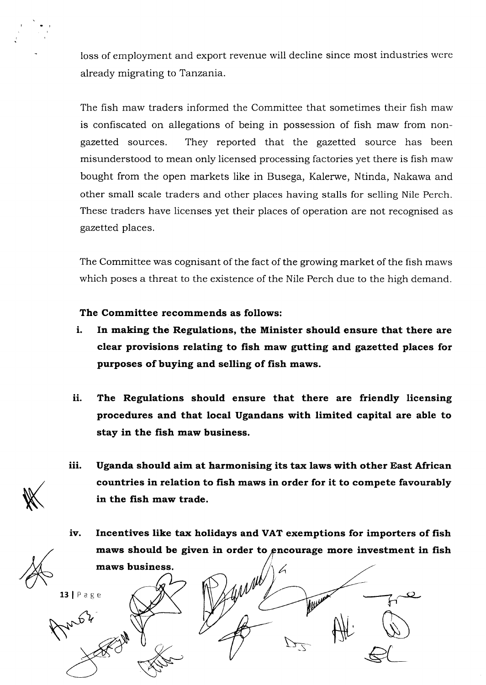loss of employment and export revenue will decline since most industries were already migrating to Tanzania.

The fish maw traders informed the Committee that sometimes their fish maw is confiscated on allegations of being in possession of fish maw from nongazetted sources. They reported that the gazetted source has been misunderstood to mean only licensed processing factories yet there is fish maw bought from the open markets like in Busega, Kalerwe, Ntinda, Nakawa and other small scale traders and other places having stalls for selling Nile Perch. These traders have licenses yet their places of operation are not recognised as gazetted places.

The Committee was cognisant of the fact of the growing market of the fish maws which poses a threat to the existence of the Nile Perch due to the high demand.

# The Committee recommends as follows:

- i. In making the Regulations, the Minister should ensure that there are clear provisions relating to fish maw gutting and. gazetted places for purposes of buying and selling of fish maws.
- ii. The Regulations should ensure that there are friendly licensing procedures and that local Ugandans with limited capital are able to stay in the fish maw business.
- iii. Uganda should aim at harmonising its tax laws with other East African countries in relation to fish maws in order for it to compete favourably in the fish maw trade.
- iv. Incentives like tax holidays and VAT exemptions for importers of fish maws should be given in order to encourage more investment in fish maws business. A

 $\bar{\nu}$ 

Wester

ft\,

K

 $13$  | Page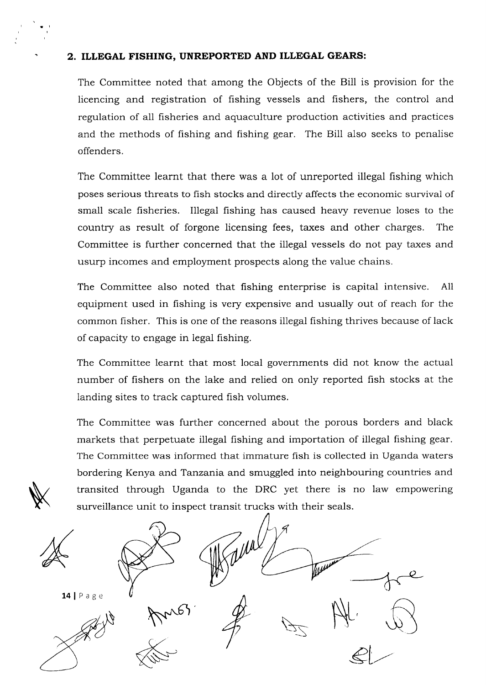#### 2. ILLEGAL FISHING, UNREPORTED AND ILLEGAL GEARS:

The Committee noted that among the Objects of the Bill is provision for the licencing and registration of fishing vessels and fishers, the control and regulation of all fisheries and aquaculture production activities and practices and the methods of fishing and fishing gear. The Bill also seeks to penalise offenders.

The Committee learnt that there was a lot of unreported illegal fishing which poses serious threats to fish stocks and directly affects the economic survival of small scale fisheries. Illegal fishing has caused heavy revenue loses to the country as result of forgone licensing fees, taxes and other charges. The Committee is further concerned that the illegal vessels do not pay taxes and usurp incomes and employment prospects along the value chains.

The Committee also noted that fishing enterprise is capital intensive. All equipment used in fishing is very expensive and usually out of reach for the common fisher. This is one of the reasons illegal fishing thrives because of lack of capacity to engage in legal fishing.

The Committee learnt that most local governments did not know the actual number of fishers on the lake and relied on only reported fish stocks at the landing sites to track captured fish volumes.

The Committee was further concerned about the porous borders and black markets that perpetuate illegal fishing and importation of illegal fishing gear. The Committee was informed that immature fish is collected in Uganda waters bordering Kenya and Tanzania and smuggled into neighbouring countries and transited through Uganda to the DRC yet there is no law empowering surveillance unit to inspect transit trucks with their seals.



 $\cancel{\mathbb{X}}$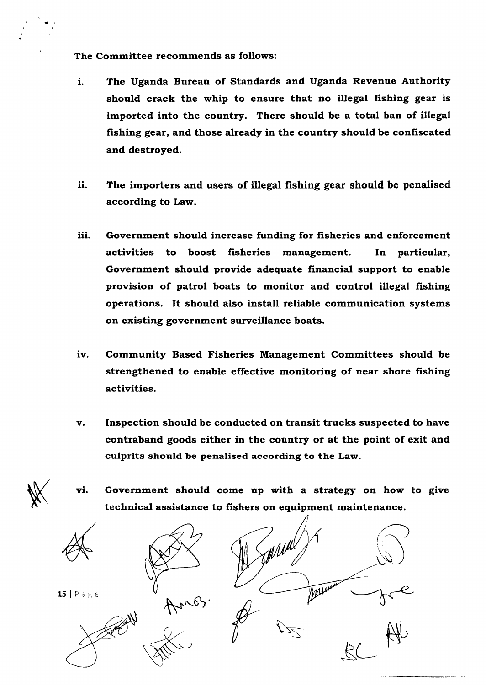The Committee recommends as follows:

- 1. The Uganda Bureau of Standards and Uganda Revenue Authority should crack the whip to ensure that no illegal fishing gear is imported into the country. There should be a total ban of illegal fishing gear, and those already in the country should be confiscated and destroyed.
- The importers and users of illegal fishing gear should be penalised according to Law. ii.
- iii. Government should increase funding for fisheries and enforcement activities to boost fisheries management. In particular, Government should provide adequate financial support to enable provision of patrol boats to monitor and control illegal fishing operations. It should also install reliable communication systems on existing government surveillance boats.
- iv. Community Based Fisheries Management Committees should be strengthened to enable effective monitoring of near shore fishing activities.
- v. Inspection should be conducted on transit trucks suspected to have contraband goods either in the country or at the point of exit and culprits should be penalised according to the Law.
- vi. Government should come up with a strategy on how to give technical assistance to fishers on equipment maintenance.



 $\cancel{\mathbb{X}}$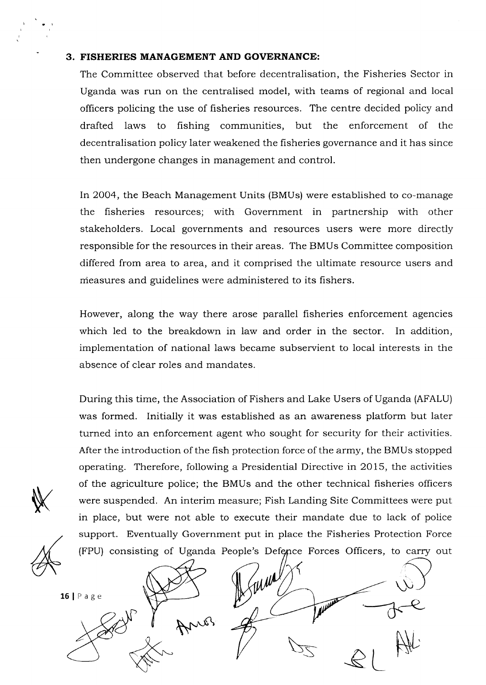#### 3. FISHERIES MANAGEMENT AND GOVERNANCE:

The Committee observed that before decentralisation, the Fisheries Sector in Uganda was run on the centralised model, with teams of regional and local officers policing the use of fisheries resources. The centre decided policy and drafted laws to fishing communities, but the enforcement of the decentralisation policy later weakened the fisheries governance and it has since then undergone changes in management and control.

In 2OO4, the Beach Management Units (BMUs) were established to co-manage the fisheries resources; with Government in partnership with other stakeholders. Locai governments and resources users were more directly responsible for the resources in their areas. The BMUs Committee composition differed from area to area, and it comprised the ultimate resource users and measures and guidelines were administered to its fishers.

However, along the way there arose parallel fisheries enforcement agencies which led to the breakdown in law and order in the sector. In addition, implementation of national laws became subservient to local interests in the absence of clear roles and mandates.

During this time, the Association of Fishers and Lake Users of Uganda (AFALU) was formed. Initially it was established as an awareness platform but later turned into an enforcement agent who sought for security for their activities. After the introduction of the fish protection force of the army, the BMUs stopped operating. Therefore, following a Presidential Directive in 2015, the activities of the agriculture police; the BMUs and the other technical fisheries officers were suspended. An interim measure; Fish Landing Site Committees were put in place, but were not able to execute their mandate due to lack of police support. Eventually Government put in place the Fisheries Protection Force (FPU) consisting of Uganda People's Defence Forces Officers, to carry out

 $\mathbb{X}$ 

WM  $\bigcup$  $16$ | Page Anos Nr  $\mathcal{Z}$